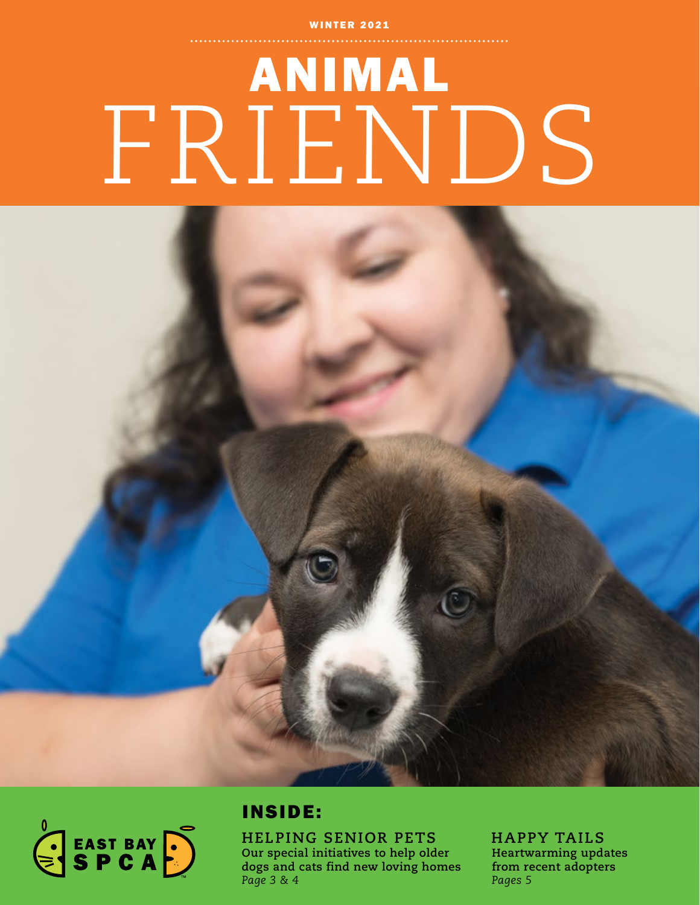## **WINTER 2021**

# ANIMAL FRIENDS



# INSIDE:

**HELPING SENIOR PETS Our special initiatives to help older dogs and cats find new loving homes** *Page 3 & 4*

**HAPPY TAILS Heartwarming updates from recent adopters** *Pages 5*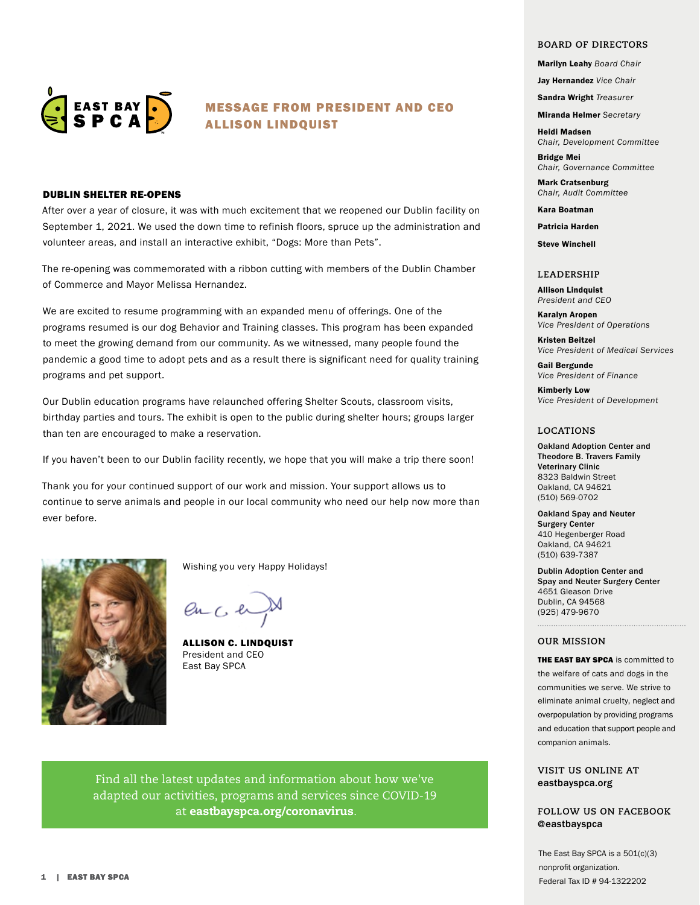

## MESSAGE FROM PRESIDENT AND CEO ALLISON LINDQUIST

## DUBLIN SHELTER RE-OPENS

After over a year of closure, it was with much excitement that we reopened our Dublin facility on September 1, 2021. We used the down time to refinish floors, spruce up the administration and volunteer areas, and install an interactive exhibit, "Dogs: More than Pets".

The re-opening was commemorated with a ribbon cutting with members of the Dublin Chamber of Commerce and Mayor Melissa Hernandez.

We are excited to resume programming with an expanded menu of offerings. One of the programs resumed is our dog Behavior and Training classes. This program has been expanded to meet the growing demand from our community. As we witnessed, many people found the pandemic a good time to adopt pets and as a result there is significant need for quality training programs and pet support.

Our Dublin education programs have relaunched offering Shelter Scouts, classroom visits, birthday parties and tours. The exhibit is open to the public during shelter hours; groups larger than ten are encouraged to make a reservation.

If you haven't been to our Dublin facility recently, we hope that you will make a trip there soon!

Thank you for your continued support of our work and mission. Your support allows us to continue to serve animals and people in our local community who need our help now more than ever before.



Wishing you very Happy Holidays!

 $enC$ 

ALLISON C. LINDQUIST President and CEO East Bay SPCA

Find all the latest updates and information about how we've adapted our activities, programs and services since COVID-19 at eastbayspca.org/coronavirus.

#### **BOARD OF DIRECTORS**

Marilyn Leahy *Board Chair* 

Jay Hernandez *Vice Chair*

Sandra Wright *Treasurer*

Miranda Helmer *Secretary*

Heidi Madsen *Chair, Development Committee*

Bridge Mei *Chair, Governance Committee*

Mark Cratsenburg *Chair, Audit Committee*

#### Kara Boatman

Patricia Harden

Steve Winchell

#### **LEADERSHIP**

Allison Lindquist *President and CEO*

Karalyn Aropen *Vice President of Operations*

Kristen Beitzel *Vice President of Medical Services*

Gail Bergunde *Vice President of Finance*

Kimberly Low *Vice President of Development*

#### **LOCATIONS**

Oakland Adoption Center and Theodore B. Travers Family Veterinary Clinic 8323 Baldwin Street Oakland, CA 94621 (510) 569-0702

Oakland Spay and Neuter Surgery Center 410 Hegenberger Road Oakland, CA 94621 (510) 639-7387

Dublin Adoption Center and Spay and Neuter Surgery Center 4651 Gleason Drive Dublin, CA 94568 (925) 479-9670

#### **OUR MISSION**

THE EAST BAY SPCA is committed to the welfare of cats and dogs in the communities we serve. We strive to eliminate animal cruelty, neglect and overpopulation by providing programs and education that support people and companion animals.

### **VISIT US ONLINE AT** eastbayspca.org

**FOLLOW US ON FACEBOOK @**eastbayspca

The East Bay SPCA is a  $501(c)(3)$ nonprofit organization. Federal Tax ID # 94-1322202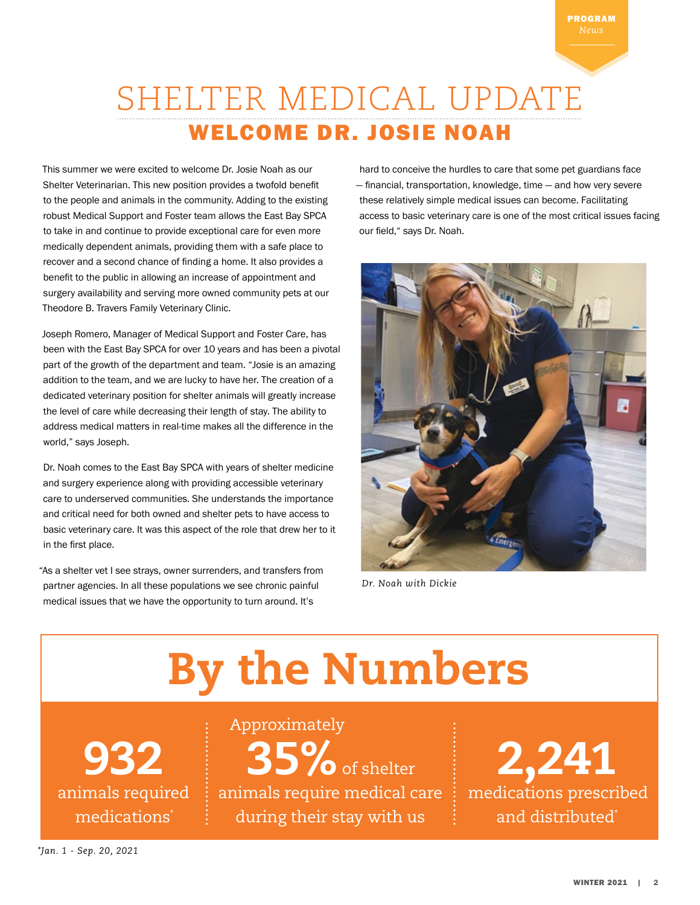# SHELTER MEDICAL UPDATE WELCOME DR. JOSIE NOAH

This summer we were excited to welcome Dr. Josie Noah as our Shelter Veterinarian. This new position provides a twofold benefit to the people and animals in the community. Adding to the existing robust Medical Support and Foster team allows the East Bay SPCA to take in and continue to provide exceptional care for even more medically dependent animals, providing them with a safe place to recover and a second chance of finding a home. It also provides a benefit to the public in allowing an increase of appointment and surgery availability and serving more owned community pets at our Theodore B. Travers Family Veterinary Clinic.

Joseph Romero, Manager of Medical Support and Foster Care, has been with the East Bay SPCA for over 10 years and has been a pivotal part of the growth of the department and team. "Josie is an amazing addition to the team, and we are lucky to have her. The creation of a dedicated veterinary position for shelter animals will greatly increase the level of care while decreasing their length of stay. The ability to address medical matters in real-time makes all the difference in the world," says Joseph.

Dr. Noah comes to the East Bay SPCA with years of shelter medicine and surgery experience along with providing accessible veterinary care to underserved communities. She understands the importance and critical need for both owned and shelter pets to have access to basic veterinary care. It was this aspect of the role that drew her to it in the first place.

"As a shelter vet I see strays, owner surrenders, and transfers from partner agencies. In all these populations we see chronic painful medical issues that we have the opportunity to turn around. It's

hard to conceive the hurdles to care that some pet guardians face — financial, transportation, knowledge, time — and how very severe these relatively simple medical issues can become. Facilitating access to basic veterinary care is one of the most critical issues facing our field," says Dr. Noah.



 *Dr. Noah with Dickie* 

# By the Numbers

932 medications<sup>\*</sup>

animals required  $\;$  : animals require medical care  $\;$  : medications prescribed 35% of shelter during their stay with us Approximately

2,241 and distributed<sup>\*</sup>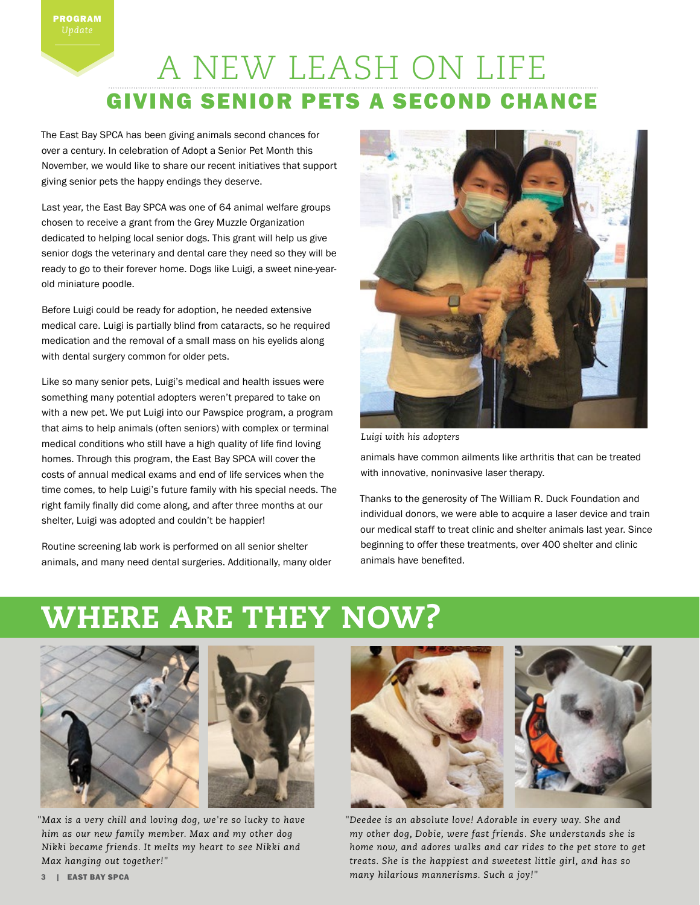# A NEW LEASH ON LIFE GIVING SENIOR PETS A SECOND CHANCE

The East Bay SPCA has been giving animals second chances for over a century. In celebration of Adopt a Senior Pet Month this November, we would like to share our recent initiatives that support giving senior pets the happy endings they deserve.

Last year, the East Bay SPCA was one of 64 animal welfare groups chosen to receive a grant from the Grey Muzzle Organization dedicated to helping local senior dogs. This grant will help us give senior dogs the veterinary and dental care they need so they will be ready to go to their forever home. Dogs like Luigi, a sweet nine-yearold miniature poodle.

Before Luigi could be ready for adoption, he needed extensive medical care. Luigi is partially blind from cataracts, so he required medication and the removal of a small mass on his eyelids along with dental surgery common for older pets.

Like so many senior pets, Luigi's medical and health issues were something many potential adopters weren't prepared to take on with a new pet. We put Luigi into our Pawspice program, a program that aims to help animals (often seniors) with complex or terminal medical conditions who still have a high quality of life find loving homes. Through this program, the East Bay SPCA will cover the costs of annual medical exams and end of life services when the time comes, to help Luigi's future family with his special needs. The right family finally did come along, and after three months at our shelter, Luigi was adopted and couldn't be happier!

Routine screening lab work is performed on all senior shelter animals, and many need dental surgeries. Additionally, many older



*Luigi with his adopters*

animals have common ailments like arthritis that can be treated with innovative, noninvasive laser therapy.

Thanks to the generosity of The William R. Duck Foundation and individual donors, we were able to acquire a laser device and train our medical staff to treat clinic and shelter animals last year. Since beginning to offer these treatments, over 400 shelter and clinic animals have benefited.

# WHERE ARE THEY NOW?





*"Max is a very chill and loving dog, we're so lucky to have him as our new family member. Max and my other dog Nikki became friends. It melts my heart to see Nikki and Max hanging out together!"*



*"Deedee is an absolute love! Adorable in every way. She and my other dog, Dobie, were fast friends. She understands she is home now, and adores walks and car rides to the pet store to get treats. She is the happiest and sweetest little girl, and has so many hilarious mannerisms. Such a joy!"*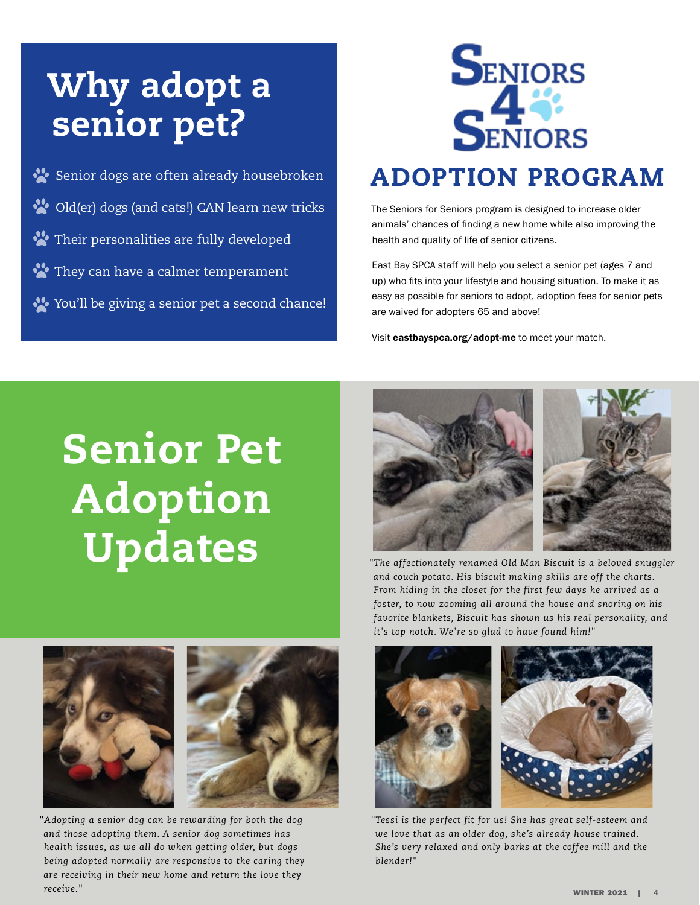# Why adopt a senior pet?

Senior dogs are often already housebroken Old(er) dogs (and cats!) CAN learn new tricks Their personalities are fully developed They can have a calmer temperament You'll be giving a senior pet a second chance!



The Seniors for Seniors program is designed to increase older animals' chances of finding a new home while also improving the health and quality of life of senior citizens.

East Bay SPCA staff will help you select a senior pet (ages 7 and up) who fits into your lifestyle and housing situation. To make it as easy as possible for seniors to adopt, adoption fees for senior pets are waived for adopters 65 and above!

Visit eastbayspca.org/adopt-me to meet your match.

# Senior Pet Adoption Updates



*"The affectionately renamed Old Man Biscuit is a beloved snuggler and couch potato. His biscuit making skills are off the charts. From hiding in the closet for the first few days he arrived as a foster, to now zooming all around the house and snoring on his favorite blankets, Biscuit has shown us his real personality, and it's top notch. We're so glad to have found him!"*





*"Adopting a senior dog can be rewarding for both the dog and those adopting them. A senior dog sometimes has health issues, as we all do when getting older, but dogs being adopted normally are responsive to the caring they are receiving in their new home and return the love they receive."*



*"Tessi is the perfect fit for us! She has great self-esteem and we love that as an older dog, she's already house trained. She's very relaxed and only barks at the coffee mill and the blender!"*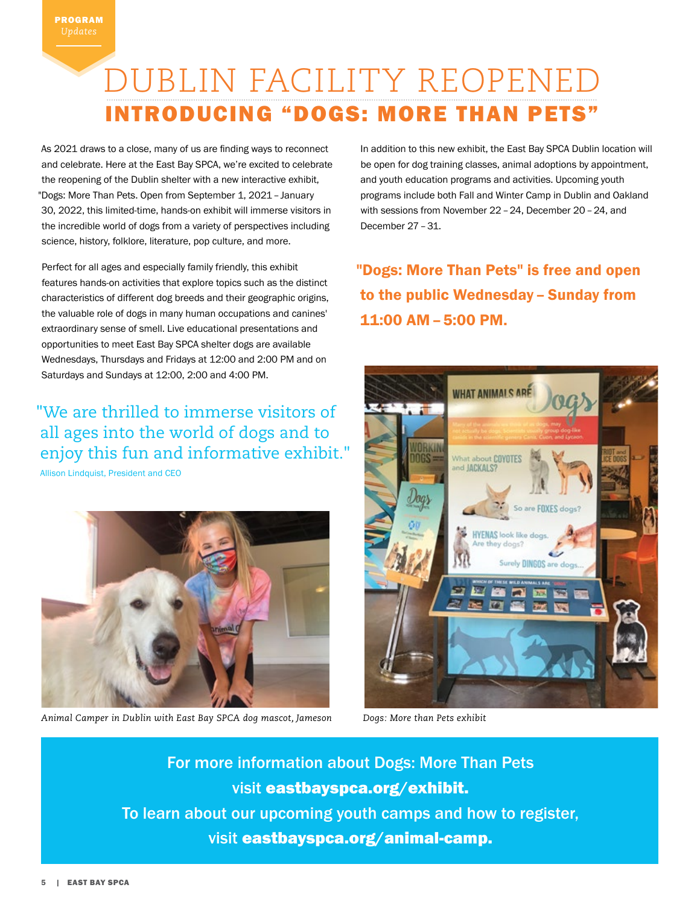# DUBLIN FACILITY REOPEN INTRODUCING "DOGS: MORE THAN PETS"

As 2021 draws to a close, many of us are finding ways to reconnect and celebrate. Here at the East Bay SPCA, we're excited to celebrate the reopening of the Dublin shelter with a new interactive exhibit, "Dogs: More Than Pets. Open from September 1, 2021 – January 30, 2022, this limited-time, hands-on exhibit will immerse visitors in the incredible world of dogs from a variety of perspectives including science, history, folklore, literature, pop culture, and more.

Perfect for all ages and especially family friendly, this exhibit features hands-on activities that explore topics such as the distinct characteristics of different dog breeds and their geographic origins, the valuable role of dogs in many human occupations and canines' extraordinary sense of smell. Live educational presentations and opportunities to meet East Bay SPCA shelter dogs are available Wednesdays, Thursdays and Fridays at 12:00 and 2:00 PM and on Saturdays and Sundays at 12:00, 2:00 and 4:00 PM.

"We are thrilled to immerse visitors of all ages into the world of dogs and to enjoy this fun and informative exhibit." Allison Lindquist, President and CEO



*Animal Camper in Dublin with East Bay SPCA dog mascot, Jameson Dogs: More than Pets exhibit*

In addition to this new exhibit, the East Bay SPCA Dublin location will be open for dog training classes, animal adoptions by appointment, and youth education programs and activities. Upcoming youth programs include both Fall and Winter Camp in Dublin and Oakland with sessions from November 22 – 24, December 20 – 24, and December 27 – 31.

"Dogs: More Than Pets" is free and open to the public Wednesday – Sunday from 11:00 AM – 5:00 PM.



For more information about Dogs: More Than Pets visit eastbayspca.org/exhibit. To learn about our upcoming youth camps and how to register, visit eastbayspca.org/animal-camp.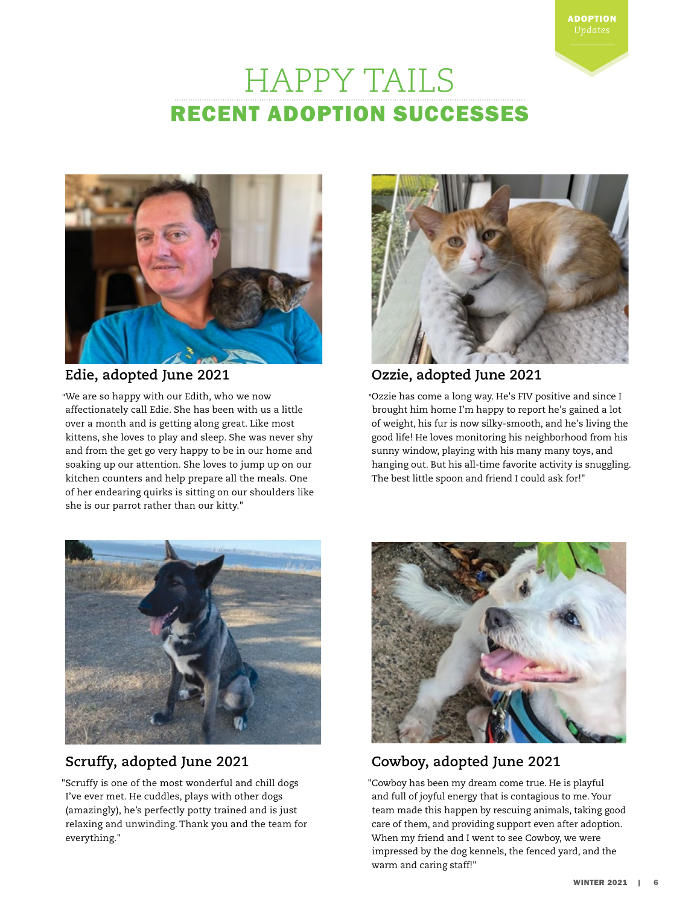# HAPPY TAILS RECENT ADOPTION SUCCESSES



# **Edie, adopted June 2021**

**"**We are so happy with our Edith, who we now affectionately call Edie. She has been with us a little over a month and is getting along great. Like most kittens, she loves to play and sleep. She was never shy and from the get go very happy to be in our home and soaking up our attention. She loves to jump up on our kitchen counters and help prepare all the meals. One of her endearing quirks is sitting on our shoulders like she is our parrot rather than our kitty."



ADOPTION

# **Ozzie, adopted June 2021**

**"**Ozzie has come a long way. He's FIV positive and since I brought him home I'm happy to report he's gained a lot of weight, his fur is now silky-smooth, and he's living the good life! He loves monitoring his neighborhood from his sunny window, playing with his many many toys, and hanging out. But his all-time favorite activity is snuggling. The best little spoon and friend I could ask for!"



# **Scruffy, adopted June 2021**

"Scruffy is one of the most wonderful and chill dogs I've ever met. He cuddles, plays with other dogs (amazingly), he's perfectly potty trained and is just relaxing and unwinding. Thank you and the team for everything."



# **Cowboy, adopted June 2021**

"Cowboy has been my dream come true. He is playful and full of joyful energy that is contagious to me. Your team made this happen by rescuing animals, taking good care of them, and providing support even after adoption. When my friend and I went to see Cowboy, we were impressed by the dog kennels, the fenced yard, and the warm and caring staff!"